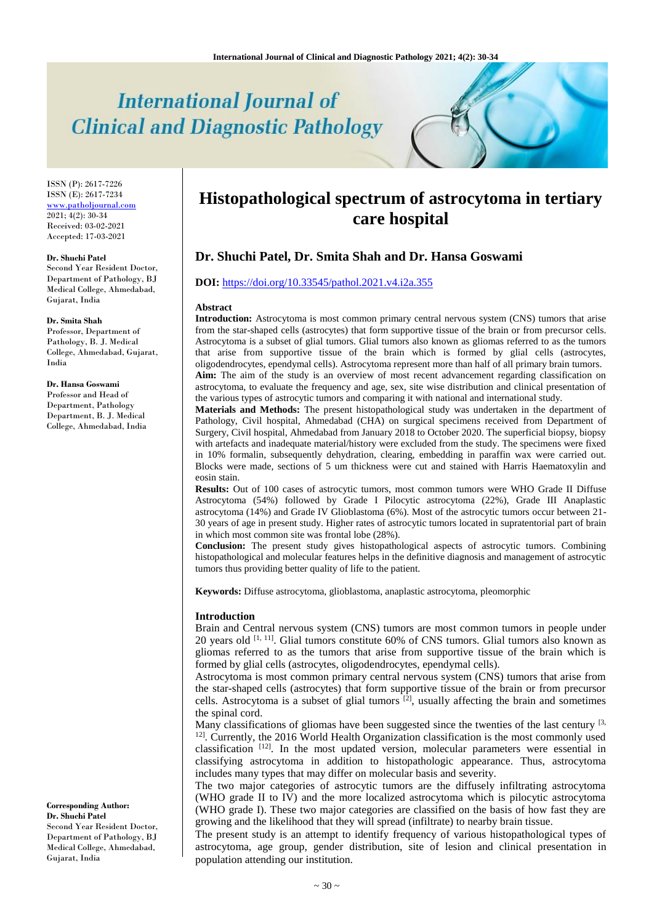# **International Journal of Clinical and Diagnostic Pathology**

ISSN (P): 2617-7226 ISSN (E): 2617-7234 [www.patholjournal.com](http://www.patholjournal.com/) 2021; 4(2): 30-34 Received: 03-02-2021 Accepted: 17-03-2021

#### **Dr. Shuchi Patel**

Second Year Resident Doctor, Department of Pathology, BJ Medical College, Ahmedabad, Gujarat, India

#### **Dr. Smita Shah**

Professor, Department of Pathology, B. J. Medical College, Ahmedabad, Gujarat, India

**Dr. Hansa Goswami** Professor and Head of Department, Pathology Department, B. J. Medical College, Ahmedabad, India

#### **Corresponding Author: Dr. Shuchi Patel**

Second Year Resident Doctor, Department of Pathology, BJ Medical College, Ahmedabad, Gujarat, India

# **Histopathological spectrum of astrocytoma in tertiary care hospital**

# **Dr. Shuchi Patel, Dr. Smita Shah and Dr. Hansa Goswami**

# **DOI:** <https://doi.org/10.33545/pathol.2021.v4.i2a.355>

#### **Abstract**

**Introduction:** Astrocytoma is most common primary central nervous system (CNS) tumors that arise from the star-shaped cells (astrocytes) that form supportive tissue of the brain or from precursor cells. Astrocytoma is a subset of glial tumors. Glial tumors also known as gliomas referred to as the tumors that arise from supportive tissue of the brain which is formed by glial cells (astrocytes, oligodendrocytes, ependymal cells). Astrocytoma represent more than half of all primary brain tumors. **Aim:** The aim of the study is an overview of most recent advancement regarding classification on astrocytoma, to evaluate the frequency and age, sex, site wise distribution and clinical presentation of the various types of astrocytic tumors and comparing it with national and international study.

**Materials and Methods:** The present histopathological study was undertaken in the department of Pathology, Civil hospital, Ahmedabad (CHA) on surgical specimens received from Department of Surgery, Civil hospital, Ahmedabad from January 2018 to October 2020. The superficial biopsy, biopsy with artefacts and inadequate material/history were excluded from the study. The specimens were fixed in 10% formalin, subsequently dehydration, clearing, embedding in paraffin wax were carried out. Blocks were made, sections of 5 um thickness were cut and stained with Harris Haematoxylin and eosin stain.

**Results:** Out of 100 cases of astrocytic tumors, most common tumors were WHO Grade II Diffuse Astrocytoma (54%) followed by Grade I Pilocytic astrocytoma (22%), Grade III Anaplastic astrocytoma (14%) and Grade IV Glioblastoma (6%). Most of the astrocytic tumors occur between 21- 30 years of age in present study. Higher rates of astrocytic tumors located in supratentorial part of brain in which most common site was frontal lobe (28%).

**Conclusion:** The present study gives histopathological aspects of astrocytic tumors. Combining histopathological and molecular features helps in the definitive diagnosis and management of astrocytic tumors thus providing better quality of life to the patient.

**Keywords:** Diffuse astrocytoma, glioblastoma, anaplastic astrocytoma, pleomorphic

#### **Introduction**

Brain and Central nervous system (CNS) tumors are most common tumors in people under 20 years old [1, 11]. Glial tumors constitute 60% of CNS tumors. Glial tumors also known as gliomas referred to as the tumors that arise from supportive tissue of the brain which is formed by glial cells (astrocytes, oligodendrocytes, ependymal cells).

Astrocytoma is most common primary central nervous system (CNS) tumors that arise from the star-shaped cells (astrocytes) that form supportive tissue of the brain or from precursor cells. Astrocytoma is a subset of glial tumors  $^{[2]}$ , usually affecting the brain and sometimes the spinal cord.

Many classifications of gliomas have been suggested since the twenties of the last century [3, <sup>12]</sup>. Currently, the 2016 World Health Organization classification is the most commonly used classification [12]. In the most updated version, molecular parameters were essential in classifying astrocytoma in addition to histopathologic appearance. Thus, astrocytoma includes many types that may differ on molecular basis and severity.

The two major categories of astrocytic tumors are the diffusely infiltrating astrocytoma (WHO grade II to IV) and the more localized astrocytoma which is pilocytic astrocytoma (WHO grade I). These two major categories are classified on the basis of how fast they are growing and the likelihood that they will spread (infiltrate) to nearby brain tissue.

The present study is an attempt to identify frequency of various histopathological types of astrocytoma, age group, gender distribution, site of lesion and clinical presentation in population attending our institution.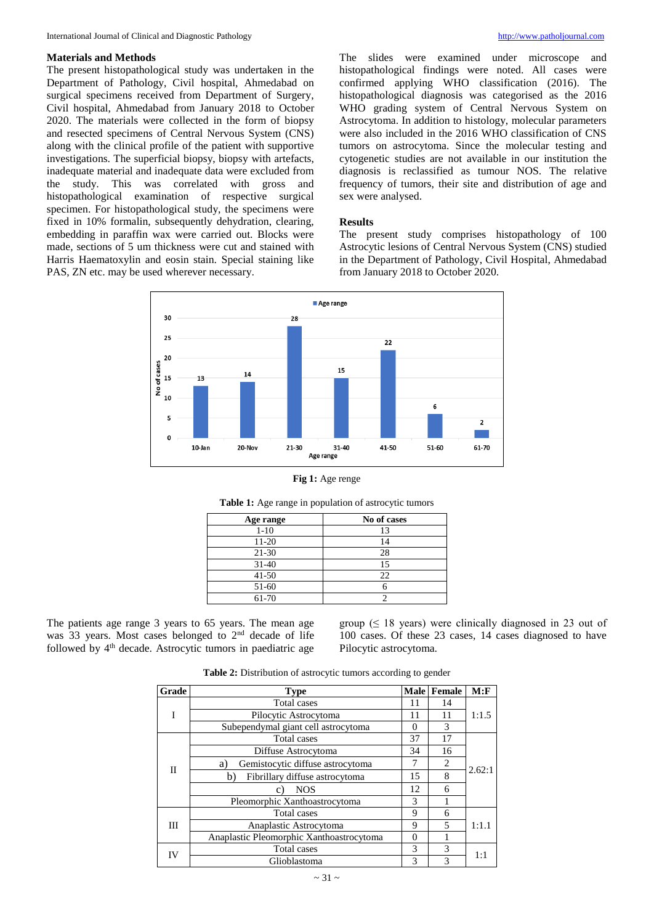# **Materials and Methods**

The present histopathological study was undertaken in the Department of Pathology, Civil hospital, Ahmedabad on surgical specimens received from Department of Surgery, Civil hospital, Ahmedabad from January 2018 to October 2020. The materials were collected in the form of biopsy and resected specimens of Central Nervous System (CNS) along with the clinical profile of the patient with supportive investigations. The superficial biopsy, biopsy with artefacts, inadequate material and inadequate data were excluded from the study. This was correlated with gross and histopathological examination of respective surgical specimen. For histopathological study, the specimens were fixed in 10% formalin, subsequently dehydration, clearing, embedding in paraffin wax were carried out. Blocks were made, sections of 5 um thickness were cut and stained with Harris Haematoxylin and eosin stain. Special staining like PAS, ZN etc. may be used wherever necessary.

The slides were examined under microscope and histopathological findings were noted. All cases were confirmed applying WHO classification (2016). The histopathological diagnosis was categorised as the 2016 WHO grading system of Central Nervous System on Astrocytoma. In addition to histology, molecular parameters were also included in the 2016 WHO classification of CNS tumors on astrocytoma. Since the molecular testing and cytogenetic studies are not available in our institution the diagnosis is reclassified as tumour NOS. The relative frequency of tumors, their site and distribution of age and sex were analysed.

## **Results**

The present study comprises histopathology of 100 Astrocytic lesions of Central Nervous System (CNS) studied in the Department of Pathology, Civil Hospital, Ahmedabad from January 2018 to October 2020.



# **Fig 1:** Age renge

| Age range | No of cases |
|-----------|-------------|
| $1 - 10$  |             |
| $11 - 20$ | 14          |
| $21 - 30$ | 28          |
| $31 - 40$ | 15          |
| $41 - 50$ | 22          |
| 51-60     |             |
| 61-70     |             |

# **Table 1:** Age range in population of astrocytic tumors

The patients age range 3 years to 65 years. The mean age was 33 years. Most cases belonged to 2nd decade of life followed by  $4<sup>th</sup>$  decade. Astrocytic tumors in paediatric age group  $( \leq 18$  years) were clinically diagnosed in 23 out of 100 cases. Of these 23 cases, 14 cases diagnosed to have Pilocytic astrocytoma.

**Table 2:** Distribution of astrocytic tumors according to gender

| Grade | <b>Type</b>                              | <b>Male</b>               | Female         | M: F   |  |
|-------|------------------------------------------|---------------------------|----------------|--------|--|
|       | Total cases                              | 11                        | 14             | 1:1.5  |  |
|       | Pilocytic Astrocytoma                    | 11                        | 11             |        |  |
|       | Subependymal giant cell astrocytoma      | $\theta$                  | 3              |        |  |
| П     | Total cases                              | 37                        | 17             |        |  |
|       | Diffuse Astrocytoma                      | 34                        | 16             | 2.62:1 |  |
|       | Gemistocytic diffuse astrocytoma<br>a)   | 7                         | $\overline{c}$ |        |  |
|       | Fibrillary diffuse astrocytoma<br>b)     | 15                        | 8              |        |  |
|       | <b>NOS</b><br>C                          | 12                        | 6              |        |  |
|       | Pleomorphic Xanthoastrocytoma            | 3                         |                |        |  |
| Ш     | Total cases                              | 9<br>6<br>1:1.1<br>5<br>9 |                |        |  |
|       | Anaplastic Astrocytoma                   |                           |                |        |  |
|       | Anaplastic Pleomorphic Xanthoastrocytoma | $\Omega$                  |                |        |  |
| IV    | Total cases                              | 3                         | 3              | 1:1    |  |
|       | Glioblastoma                             | 3                         | $\mathbf{3}$   |        |  |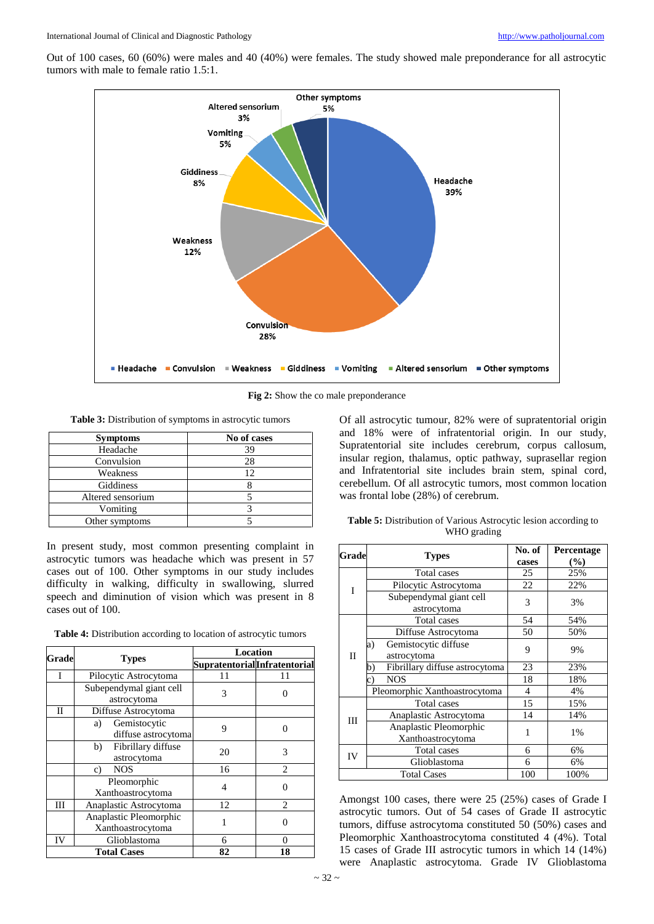Out of 100 cases, 60 (60%) were males and 40 (40%) were females. The study showed male preponderance for all astrocytic tumors with male to female ratio 1.5:1.



**Fig 2:** Show the co male preponderance

**Table 3:** Distribution of symptoms in astrocytic tumors

| <b>Symptoms</b>   | No of cases |
|-------------------|-------------|
| Headache          | 39          |
| Convulsion        | 28          |
| Weakness          | 12          |
| Giddiness         |             |
| Altered sensorium |             |
| Vomiting          |             |
| Other symptoms    |             |

In present study, most common presenting complaint in astrocytic tumors was headache which was present in 57 cases out of 100. Other symptoms in our study includes difficulty in walking, difficulty in swallowing, slurred speech and diminution of vision which was present in 8 cases out of 100.

|  |  |  |  | <b>Table 4:</b> Distribution according to location of astrocytic tumors |  |
|--|--|--|--|-------------------------------------------------------------------------|--|
|--|--|--|--|-------------------------------------------------------------------------|--|

| Grade              |                          | <b>Location</b>              |                  |  |
|--------------------|--------------------------|------------------------------|------------------|--|
|                    | <b>Types</b>             | SupratentorialInfratentorial |                  |  |
|                    | Pilocytic Astrocytoma    | 11                           | 11               |  |
|                    | Subependymal giant cell  | 3                            |                  |  |
|                    | astrocytoma              |                              |                  |  |
| Н                  | Diffuse Astrocytoma      |                              |                  |  |
|                    | Gemistocytic<br>a)       | 9                            | $\left( \right)$ |  |
|                    | diffuse astrocytoma      |                              |                  |  |
|                    | Fibrillary diffuse<br>b) | 20                           | 3                |  |
|                    | astrocytoma              |                              |                  |  |
|                    | <b>NOS</b><br>c)         | 16                           | 2                |  |
|                    | Pleomorphic              | 4                            | 0                |  |
|                    | Xanthoastrocytoma        |                              |                  |  |
| Ш                  | Anaplastic Astrocytoma   | 12                           | $\overline{c}$   |  |
|                    | Anaplastic Pleomorphic   | 1                            | 0                |  |
|                    | Xanthoastrocytoma        |                              |                  |  |
| IV                 | Glioblastoma             | 6                            | 0                |  |
| <b>Total Cases</b> |                          | 82                           | 18               |  |

Of all astrocytic tumour, 82% were of supratentorial origin and 18% were of infratentorial origin. In our study, Supratentorial site includes cerebrum, corpus callosum, insular region, thalamus, optic pathway, suprasellar region and Infratentorial site includes brain stem, spinal cord, cerebellum. Of all astrocytic tumors, most common location was frontal lobe (28%) of cerebrum.

| Table 5: Distribution of Various Astrocytic lesion according to |
|-----------------------------------------------------------------|
| WHO grading                                                     |

| Grade              |                                      | No. of | Percentage |  |
|--------------------|--------------------------------------|--------|------------|--|
|                    | <b>Types</b>                         | cases  | $($ %)     |  |
| T                  | Total cases                          | 25     | 25%        |  |
|                    | Pilocytic Astrocytoma                | 22     | 22%        |  |
|                    | Subependymal giant cell              | 3      |            |  |
|                    | astrocytoma                          |        | 3%         |  |
|                    | Total cases                          | 54     | 54%        |  |
| П                  | Diffuse Astrocytoma                  | 50     | 50%        |  |
|                    | Gemistocytic diffuse<br>a)           | 9      |            |  |
|                    | astrocytoma                          |        | 9%         |  |
|                    | Fibrillary diffuse astrocytoma<br>b) | 23     | 23%        |  |
|                    | <b>NOS</b><br>c)                     | 18     | 18%        |  |
|                    | Pleomorphic Xanthoastrocytoma        | 4      | 4%         |  |
| Ш                  | Total cases                          | 15     | 15%        |  |
|                    | Anaplastic Astrocytoma               | 14     | 14%        |  |
|                    | Anaplastic Pleomorphic               | 1      |            |  |
|                    | Xanthoastrocytoma                    |        | 1%         |  |
| IV                 | Total cases                          | 6      | 6%         |  |
|                    | Glioblastoma                         | 6      | 6%         |  |
| <b>Total Cases</b> |                                      | 100    | 100%       |  |

Amongst 100 cases, there were 25 (25%) cases of Grade I astrocytic tumors. Out of 54 cases of Grade II astrocytic tumors, diffuse astrocytoma constituted 50 (50%) cases and Pleomorphic Xanthoastrocytoma constituted 4 (4%). Total 15 cases of Grade III astrocytic tumors in which 14 (14%) were Anaplastic astrocytoma. Grade IV Glioblastoma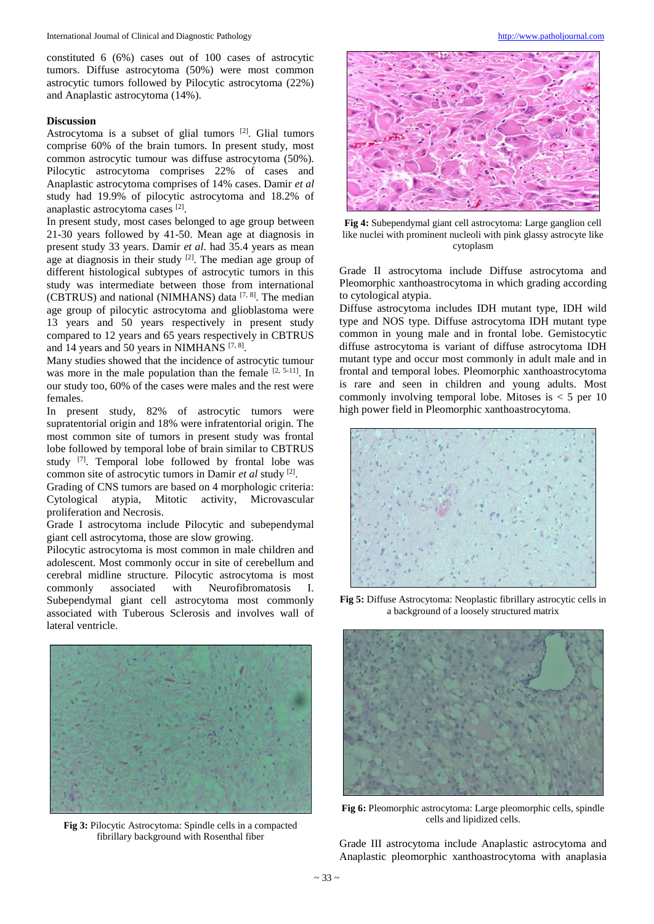constituted 6 (6%) cases out of 100 cases of astrocytic tumors. Diffuse astrocytoma (50%) were most common astrocytic tumors followed by Pilocytic astrocytoma (22%) and Anaplastic astrocytoma (14%).

# **Discussion**

Astrocytoma is a subset of glial tumors [2]. Glial tumors comprise 60% of the brain tumors. In present study, most common astrocytic tumour was diffuse astrocytoma (50%). Pilocytic astrocytoma comprises 22% of cases and Anaplastic astrocytoma comprises of 14% cases. Damir *et al* study had 19.9% of pilocytic astrocytoma and 18.2% of anaplastic astrocytoma cases [2].

In present study, most cases belonged to age group between 21-30 years followed by 41-50. Mean age at diagnosis in present study 33 years. Damir *et al*. had 35.4 years as mean age at diagnosis in their study  $[2]$ . The median age group of different histological subtypes of astrocytic tumors in this study was intermediate between those from international (CBTRUS) and national (NIMHANS) data  $[7, 8]$ . The median age group of pilocytic astrocytoma and glioblastoma were 13 years and 50 years respectively in present study compared to 12 years and 65 years respectively in CBTRUS and 14 years and 50 years in NIMHANS [7, 8].

Many studies showed that the incidence of astrocytic tumour was more in the male population than the female  $[2, 5-11]$ . In our study too, 60% of the cases were males and the rest were females.

In present study, 82% of astrocytic tumors were supratentorial origin and 18% were infratentorial origin. The most common site of tumors in present study was frontal lobe followed by temporal lobe of brain similar to CBTRUS study [7]. Temporal lobe followed by frontal lobe was common site of astrocytic tumors in Damir *et al* study [2] .

Grading of CNS tumors are based on 4 morphologic criteria: Cytological atypia, Mitotic activity, Microvascular proliferation and Necrosis.

Grade I astrocytoma include Pilocytic and subependymal giant cell astrocytoma, those are slow growing.

Pilocytic astrocytoma is most common in male children and adolescent. Most commonly occur in site of cerebellum and cerebral midline structure. Pilocytic astrocytoma is most commonly associated with Neurofibromatosis I. Subependymal giant cell astrocytoma most commonly associated with Tuberous Sclerosis and involves wall of lateral ventricle.



**Fig 3:** Pilocytic Astrocytoma: Spindle cells in a compacted fibrillary background with Rosenthal fiber



**Fig 4:** Subependymal giant cell astrocytoma: Large ganglion cell like nuclei with prominent nucleoli with pink glassy astrocyte like cytoplasm

Grade II astrocytoma include Diffuse astrocytoma and Pleomorphic xanthoastrocytoma in which grading according to cytological atypia.

Diffuse astrocytoma includes IDH mutant type, IDH wild type and NOS type. Diffuse astrocytoma IDH mutant type common in young male and in frontal lobe. Gemistocytic diffuse astrocytoma is variant of diffuse astrocytoma IDH mutant type and occur most commonly in adult male and in frontal and temporal lobes. Pleomorphic xanthoastrocytoma is rare and seen in children and young adults. Most commonly involving temporal lobe. Mitoses is  $\lt$  5 per 10 high power field in Pleomorphic xanthoastrocytoma.



**Fig 5:** Diffuse Astrocytoma: Neoplastic fibrillary astrocytic cells in a background of a loosely structured matrix



**Fig 6:** Pleomorphic astrocytoma: Large pleomorphic cells, spindle cells and lipidized cells.

Grade III astrocytoma include Anaplastic astrocytoma and Anaplastic pleomorphic xanthoastrocytoma with anaplasia